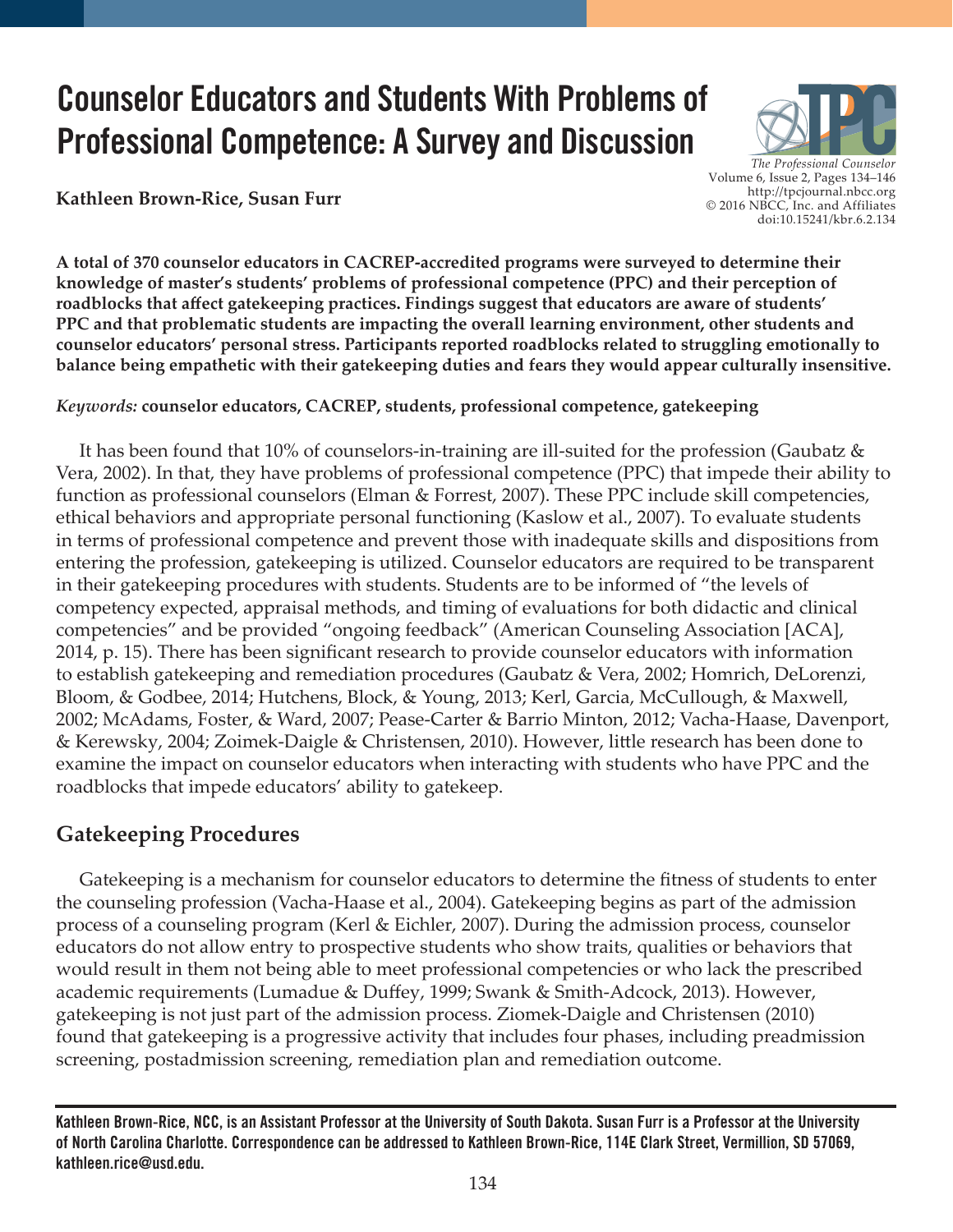# **Counselor Educators and Students With Problems of Professional Competence: A Survey and Discussion**

**Kathleen Brown-Rice, Susan Furr**

*The Professional Counselor*  Volume 6, Issue 2, Pages 134–146 http://tpcjournal.nbcc.org © 2016 NBCC, Inc. and Affiliates doi:10.15241/kbr.6.2.134

**A total of 370 counselor educators in CACREP-accredited programs were surveyed to determine their knowledge of master's students' problems of professional competence (PPC) and their perception of roadblocks that affect gatekeeping practices. Findings suggest that educators are aware of students' PPC and that problematic students are impacting the overall learning environment, other students and counselor educators' personal stress. Participants reported roadblocks related to struggling emotionally to balance being empathetic with their gatekeeping duties and fears they would appear culturally insensitive.**

*Keywords:* **counselor educators, CACREP, students, professional competence, gatekeeping**

 It has been found that 10% of counselors-in-training are ill-suited for the profession (Gaubatz & Vera, 2002). In that, they have problems of professional competence (PPC) that impede their ability to function as professional counselors (Elman & Forrest, 2007). These PPC include skill competencies, ethical behaviors and appropriate personal functioning (Kaslow et al., 2007). To evaluate students in terms of professional competence and prevent those with inadequate skills and dispositions from entering the profession, gatekeeping is utilized. Counselor educators are required to be transparent in their gatekeeping procedures with students. Students are to be informed of "the levels of competency expected, appraisal methods, and timing of evaluations for both didactic and clinical competencies" and be provided "ongoing feedback" (American Counseling Association [ACA], 2014, p. 15). There has been significant research to provide counselor educators with information to establish gatekeeping and remediation procedures (Gaubatz & Vera, 2002; Homrich, DeLorenzi, Bloom, & Godbee, 2014; Hutchens, Block, & Young, 2013; Kerl, Garcia, McCullough, & Maxwell, 2002; McAdams, Foster, & Ward, 2007; Pease-Carter & Barrio Minton, 2012; Vacha-Haase, Davenport, & Kerewsky, 2004; Zoimek-Daigle & Christensen, 2010). However, little research has been done to examine the impact on counselor educators when interacting with students who have PPC and the roadblocks that impede educators' ability to gatekeep.

## **Gatekeeping Procedures**

 Gatekeeping is a mechanism for counselor educators to determine the fitness of students to enter the counseling profession (Vacha-Haase et al., 2004). Gatekeeping begins as part of the admission process of a counseling program (Kerl & Eichler, 2007). During the admission process, counselor educators do not allow entry to prospective students who show traits, qualities or behaviors that would result in them not being able to meet professional competencies or who lack the prescribed academic requirements (Lumadue & Duffey, 1999; Swank & Smith-Adcock, 2013). However, gatekeeping is not just part of the admission process. Ziomek-Daigle and Christensen (2010) found that gatekeeping is a progressive activity that includes four phases, including preadmission screening, postadmission screening, remediation plan and remediation outcome.

**Kathleen Brown-Rice, NCC, is an Assistant Professor at the University of South Dakota. Susan Furr is a Professor at the University of North Carolina Charlotte. Correspondence can be addressed to Kathleen Brown-Rice, 114E Clark Street, Vermillion, SD 57069, kathleen.rice@usd.edu.**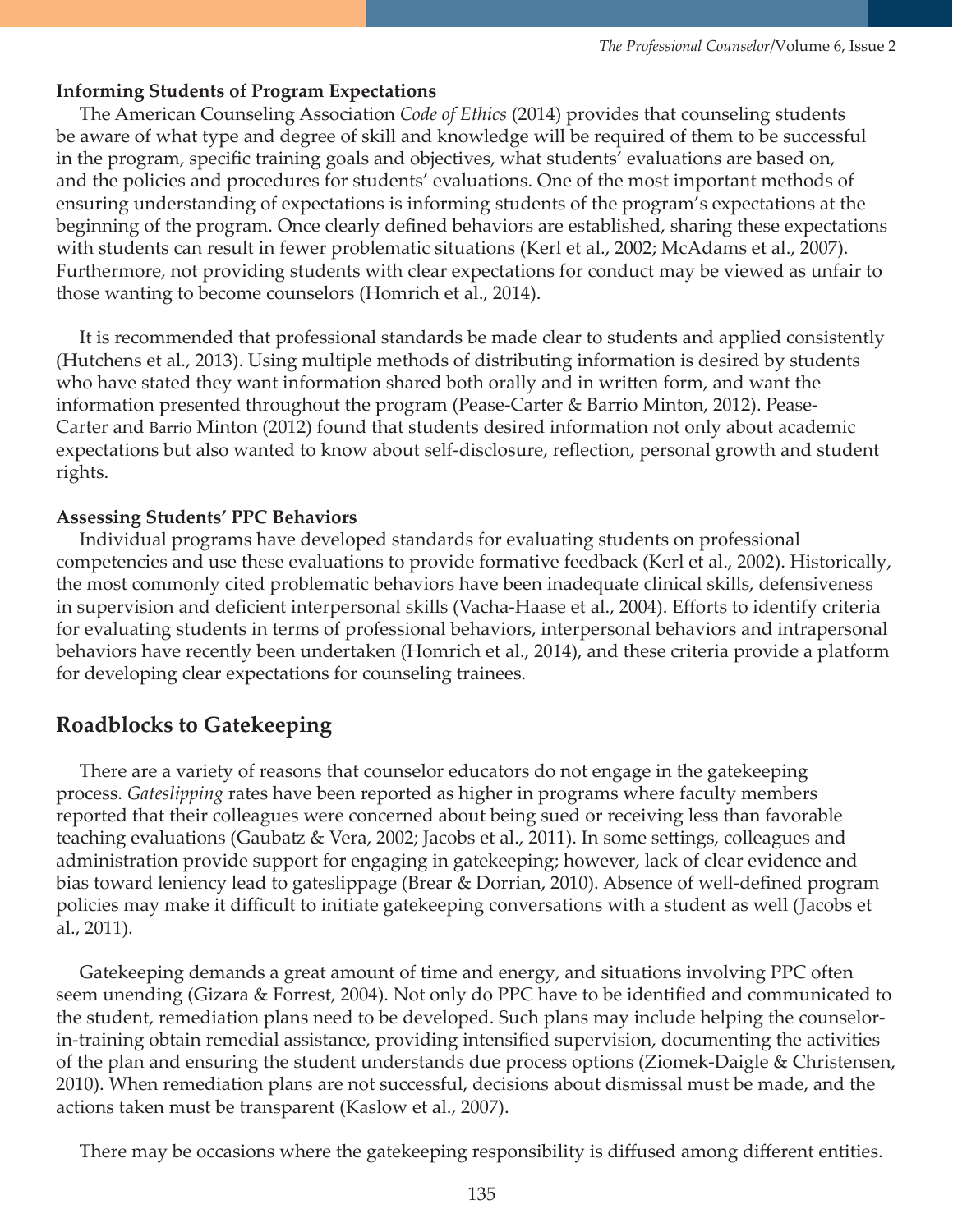#### **Informing Students of Program Expectations**

 The American Counseling Association *Code of Ethics* (2014) provides that counseling students be aware of what type and degree of skill and knowledge will be required of them to be successful in the program, specific training goals and objectives, what students' evaluations are based on, and the policies and procedures for students' evaluations. One of the most important methods of ensuring understanding of expectations is informing students of the program's expectations at the beginning of the program. Once clearly defined behaviors are established, sharing these expectations with students can result in fewer problematic situations (Kerl et al., 2002; McAdams et al., 2007). Furthermore, not providing students with clear expectations for conduct may be viewed as unfair to those wanting to become counselors (Homrich et al., 2014).

 It is recommended that professional standards be made clear to students and applied consistently (Hutchens et al., 2013). Using multiple methods of distributing information is desired by students who have stated they want information shared both orally and in written form, and want the information presented throughout the program (Pease-Carter & Barrio Minton, 2012). Pease-Carter and Barrio Minton (2012) found that students desired information not only about academic expectations but also wanted to know about self-disclosure, reflection, personal growth and student rights.

#### **Assessing Students' PPC Behaviors**

 Individual programs have developed standards for evaluating students on professional competencies and use these evaluations to provide formative feedback (Kerl et al., 2002). Historically, the most commonly cited problematic behaviors have been inadequate clinical skills, defensiveness in supervision and deficient interpersonal skills (Vacha-Haase et al., 2004). Efforts to identify criteria for evaluating students in terms of professional behaviors, interpersonal behaviors and intrapersonal behaviors have recently been undertaken (Homrich et al., 2014), and these criteria provide a platform for developing clear expectations for counseling trainees.

### **Roadblocks to Gatekeeping**

 There are a variety of reasons that counselor educators do not engage in the gatekeeping process. *Gateslipping* rates have been reported as higher in programs where faculty members reported that their colleagues were concerned about being sued or receiving less than favorable teaching evaluations (Gaubatz & Vera, 2002; Jacobs et al., 2011). In some settings, colleagues and administration provide support for engaging in gatekeeping; however, lack of clear evidence and bias toward leniency lead to gateslippage (Brear & Dorrian, 2010). Absence of well-defined program policies may make it difficult to initiate gatekeeping conversations with a student as well (Jacobs et al., 2011).

 Gatekeeping demands a great amount of time and energy, and situations involving PPC often seem unending (Gizara & Forrest, 2004). Not only do PPC have to be identified and communicated to the student, remediation plans need to be developed. Such plans may include helping the counselorin-training obtain remedial assistance, providing intensified supervision, documenting the activities of the plan and ensuring the student understands due process options (Ziomek-Daigle & Christensen, 2010). When remediation plans are not successful, decisions about dismissal must be made, and the actions taken must be transparent (Kaslow et al., 2007).

There may be occasions where the gatekeeping responsibility is diffused among different entities.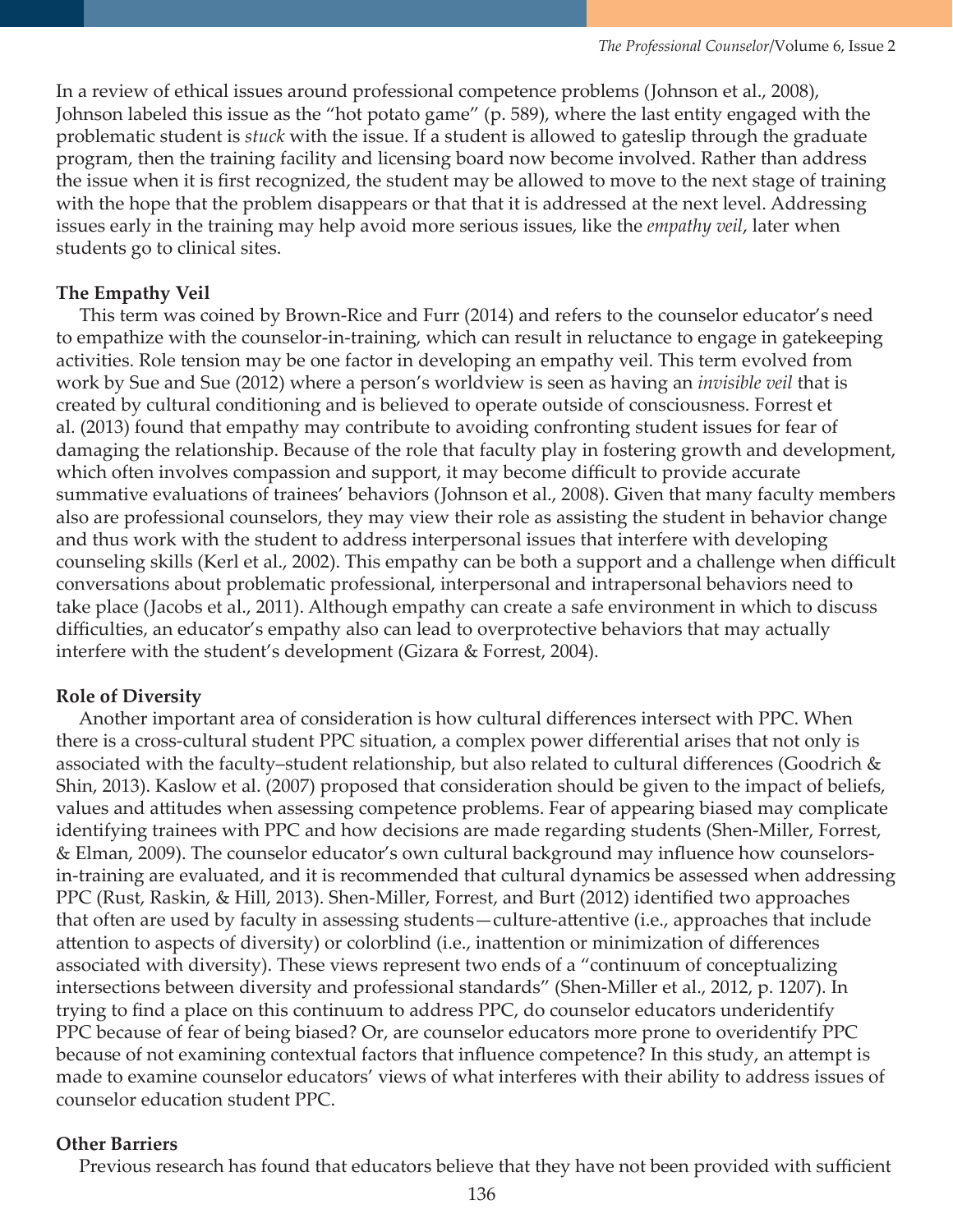In a review of ethical issues around professional competence problems (Johnson et al., 2008), Johnson labeled this issue as the "hot potato game" (p. 589), where the last entity engaged with the problematic student is *stuck* with the issue. If a student is allowed to gateslip through the graduate program, then the training facility and licensing board now become involved. Rather than address the issue when it is first recognized, the student may be allowed to move to the next stage of training with the hope that the problem disappears or that that it is addressed at the next level. Addressing issues early in the training may help avoid more serious issues, like the *empathy veil*, later when students go to clinical sites.

## **The Empathy Veil**

 This term was coined by Brown-Rice and Furr (2014) and refers to the counselor educator's need to empathize with the counselor-in-training, which can result in reluctance to engage in gatekeeping activities. Role tension may be one factor in developing an empathy veil. This term evolved from work by Sue and Sue (2012) where a person's worldview is seen as having an *invisible veil* that is created by cultural conditioning and is believed to operate outside of consciousness. Forrest et al. (2013) found that empathy may contribute to avoiding confronting student issues for fear of damaging the relationship. Because of the role that faculty play in fostering growth and development, which often involves compassion and support, it may become difficult to provide accurate summative evaluations of trainees' behaviors (Johnson et al., 2008). Given that many faculty members also are professional counselors, they may view their role as assisting the student in behavior change and thus work with the student to address interpersonal issues that interfere with developing counseling skills (Kerl et al., 2002). This empathy can be both a support and a challenge when difficult conversations about problematic professional, interpersonal and intrapersonal behaviors need to take place (Jacobs et al., 2011). Although empathy can create a safe environment in which to discuss difficulties, an educator's empathy also can lead to overprotective behaviors that may actually interfere with the student's development (Gizara & Forrest, 2004).

## **Role of Diversity**

 Another important area of consideration is how cultural differences intersect with PPC. When there is a cross-cultural student PPC situation, a complex power differential arises that not only is associated with the faculty–student relationship, but also related to cultural differences (Goodrich & Shin, 2013). Kaslow et al. (2007) proposed that consideration should be given to the impact of beliefs, values and attitudes when assessing competence problems. Fear of appearing biased may complicate identifying trainees with PPC and how decisions are made regarding students (Shen-Miller, Forrest, & Elman, 2009). The counselor educator's own cultural background may influence how counselorsin-training are evaluated, and it is recommended that cultural dynamics be assessed when addressing PPC (Rust, Raskin, & Hill, 2013). Shen-Miller, Forrest, and Burt (2012) identified two approaches that often are used by faculty in assessing students—culture-attentive (i.e., approaches that include attention to aspects of diversity) or colorblind (i.e., inattention or minimization of differences associated with diversity). These views represent two ends of a "continuum of conceptualizing intersections between diversity and professional standards" (Shen-Miller et al., 2012, p. 1207). In trying to find a place on this continuum to address PPC, do counselor educators underidentify PPC because of fear of being biased? Or, are counselor educators more prone to overidentify PPC because of not examining contextual factors that influence competence? In this study, an attempt is made to examine counselor educators' views of what interferes with their ability to address issues of counselor education student PPC.

### **Other Barriers**

Previous research has found that educators believe that they have not been provided with sufficient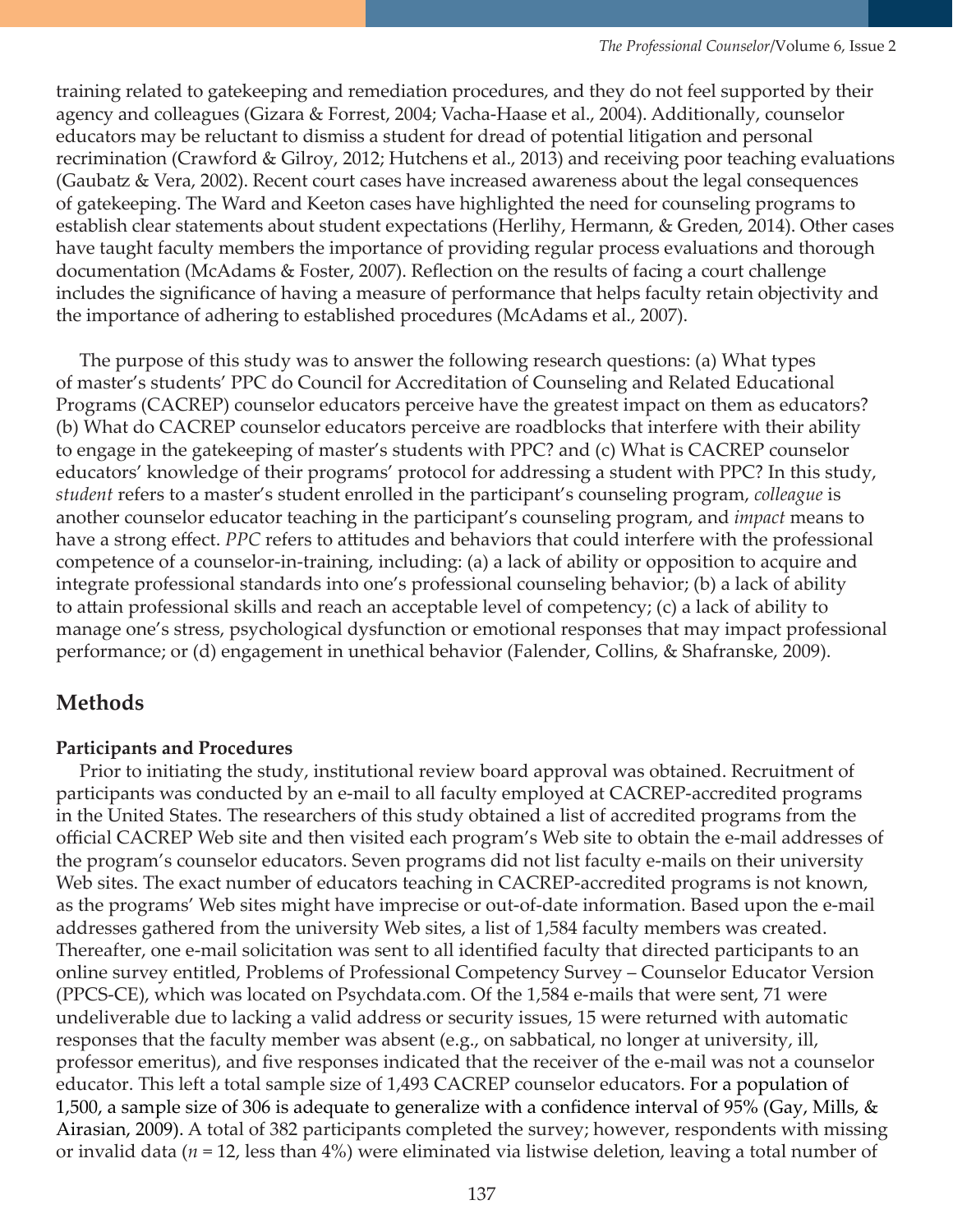training related to gatekeeping and remediation procedures, and they do not feel supported by their agency and colleagues (Gizara & Forrest, 2004; Vacha-Haase et al., 2004). Additionally, counselor educators may be reluctant to dismiss a student for dread of potential litigation and personal recrimination (Crawford & Gilroy, 2012; Hutchens et al., 2013) and receiving poor teaching evaluations (Gaubatz & Vera, 2002). Recent court cases have increased awareness about the legal consequences of gatekeeping. The Ward and Keeton cases have highlighted the need for counseling programs to establish clear statements about student expectations (Herlihy, Hermann, & Greden, 2014). Other cases have taught faculty members the importance of providing regular process evaluations and thorough documentation (McAdams & Foster, 2007). Reflection on the results of facing a court challenge includes the significance of having a measure of performance that helps faculty retain objectivity and the importance of adhering to established procedures (McAdams et al., 2007).

 The purpose of this study was to answer the following research questions: (a) What types of master's students' PPC do Council for Accreditation of Counseling and Related Educational Programs (CACREP) counselor educators perceive have the greatest impact on them as educators? (b) What do CACREP counselor educators perceive are roadblocks that interfere with their ability to engage in the gatekeeping of master's students with PPC? and (c) What is CACREP counselor educators' knowledge of their programs' protocol for addressing a student with PPC? In this study, *student* refers to a master's student enrolled in the participant's counseling program, *colleague* is another counselor educator teaching in the participant's counseling program, and *impact* means to have a strong effect. *PPC* refers to attitudes and behaviors that could interfere with the professional competence of a counselor-in-training, including: (a) a lack of ability or opposition to acquire and integrate professional standards into one's professional counseling behavior; (b) a lack of ability to attain professional skills and reach an acceptable level of competency; (c) a lack of ability to manage one's stress, psychological dysfunction or emotional responses that may impact professional performance; or (d) engagement in unethical behavior (Falender, Collins, & Shafranske, 2009).

## **Methods**

#### **Participants and Procedures**

 Prior to initiating the study, institutional review board approval was obtained. Recruitment of participants was conducted by an e-mail to all faculty employed at CACREP-accredited programs in the United States. The researchers of this study obtained a list of accredited programs from the official CACREP Web site and then visited each program's Web site to obtain the e-mail addresses of the program's counselor educators. Seven programs did not list faculty e-mails on their university Web sites. The exact number of educators teaching in CACREP-accredited programs is not known, as the programs' Web sites might have imprecise or out-of-date information. Based upon the e-mail addresses gathered from the university Web sites, a list of 1,584 faculty members was created. Thereafter, one e-mail solicitation was sent to all identified faculty that directed participants to an online survey entitled, Problems of Professional Competency Survey – Counselor Educator Version (PPCS-CE), which was located on Psychdata.com. Of the 1,584 e-mails that were sent, 71 were undeliverable due to lacking a valid address or security issues, 15 were returned with automatic responses that the faculty member was absent (e.g., on sabbatical, no longer at university, ill, professor emeritus), and five responses indicated that the receiver of the e-mail was not a counselor educator. This left a total sample size of 1,493 CACREP counselor educators. For a population of 1,500, a sample size of 306 is adequate to generalize with a confidence interval of 95% (Gay, Mills, & Airasian, 2009). A total of 382 participants completed the survey; however, respondents with missing or invalid data (*n* = 12, less than 4%) were eliminated via listwise deletion, leaving a total number of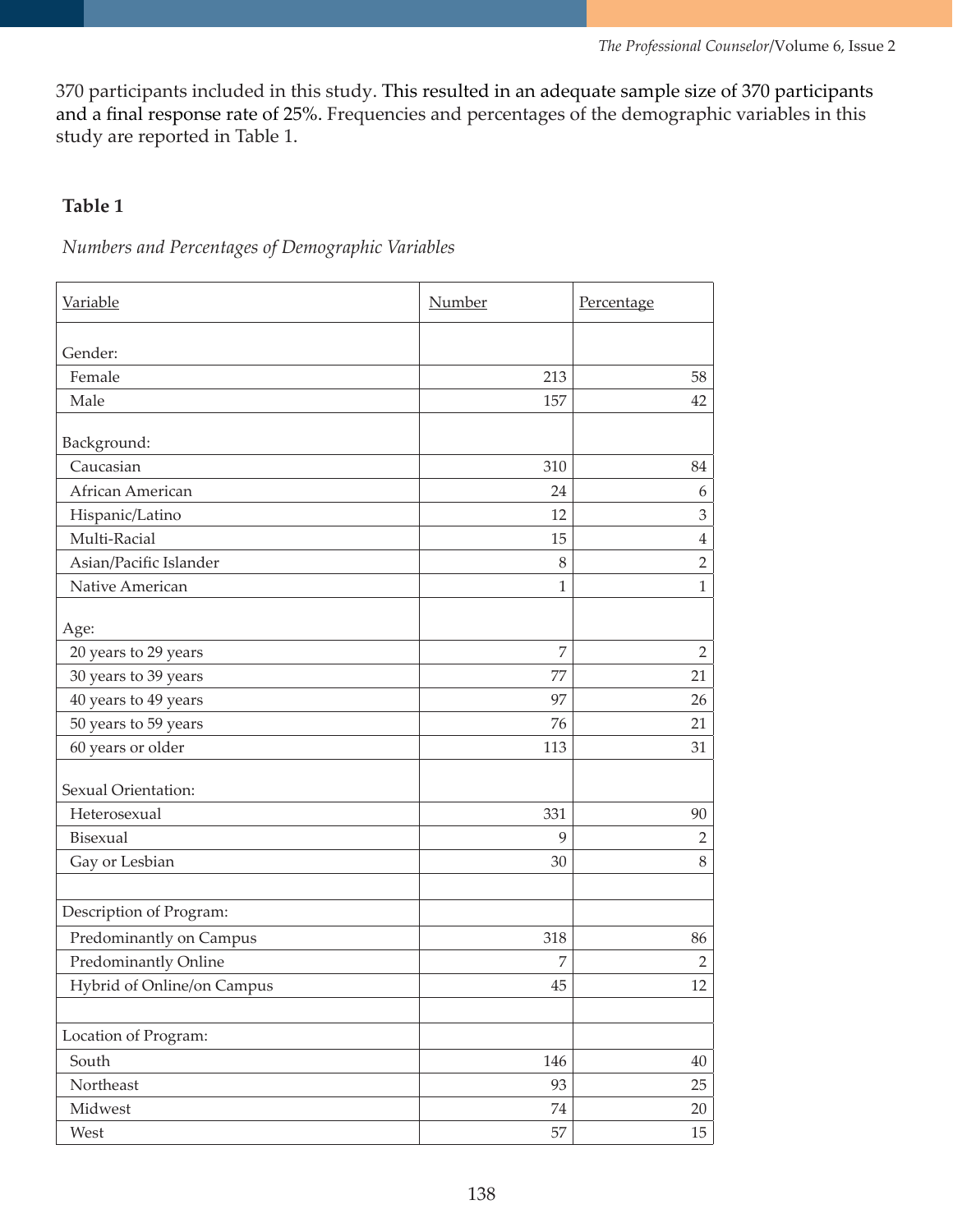370 participants included in this study. This resulted in an adequate sample size of 370 participants and a final response rate of 25%. Frequencies and percentages of the demographic variables in this study are reported in Table 1.

## **Table 1**

*Numbers and Percentages of Demographic Variables*

| Variable                   | Number         | Percentage     |
|----------------------------|----------------|----------------|
| Gender:                    |                |                |
| Female                     | 213            | 58             |
| Male                       | 157            | 42             |
| Background:                |                |                |
| Caucasian                  | 310            | 84             |
| African American           | 24             | 6              |
| Hispanic/Latino            | 12             | 3              |
| Multi-Racial               | 15             | $\overline{4}$ |
| Asian/Pacific Islander     | 8              | $\overline{2}$ |
| Native American            | $\mathbf{1}$   | $\mathbf{1}$   |
|                            |                |                |
| Age:                       |                |                |
| 20 years to 29 years       | $\overline{7}$ | $\overline{2}$ |
| 30 years to 39 years       | 77             | 21             |
| 40 years to 49 years       | 97             | 26             |
| 50 years to 59 years       | 76             | 21             |
| 60 years or older          | 113            | 31             |
| Sexual Orientation:        |                |                |
| Heterosexual               | 331            | 90             |
| Bisexual                   | 9              | $\overline{2}$ |
| Gay or Lesbian             | 30             | $\,$ 8 $\,$    |
| Description of Program:    |                |                |
| Predominantly on Campus    | 318            | 86             |
| Predominantly Online       | 7              | $\overline{2}$ |
| Hybrid of Online/on Campus | 45             | 12             |
|                            |                |                |
| Location of Program:       |                |                |
| South                      | 146            | 40             |
| Northeast                  | 93             | 25             |
| Midwest                    | 74             | 20             |
| West                       | 57             | 15             |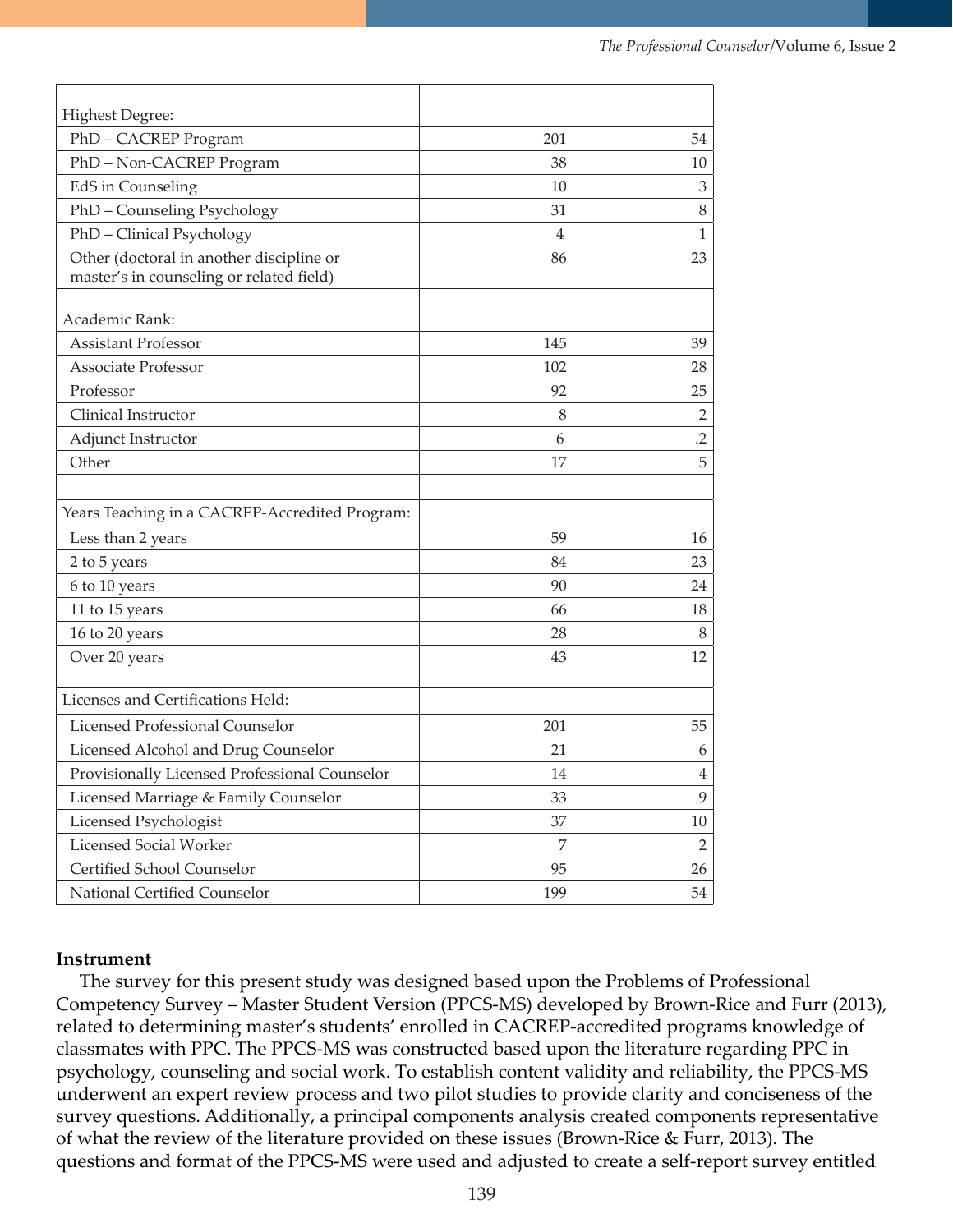| <b>Highest Degree:</b>                                                               |     |                |
|--------------------------------------------------------------------------------------|-----|----------------|
| PhD-CACREP Program                                                                   | 201 | 54             |
| PhD-Non-CACREP Program                                                               | 38  | 10             |
| EdS in Counseling                                                                    | 10  | 3              |
| PhD - Counseling Psychology                                                          | 31  | 8              |
| PhD - Clinical Psychology                                                            | 4   | 1              |
| Other (doctoral in another discipline or<br>master's in counseling or related field) | 86  | 23             |
| Academic Rank:                                                                       |     |                |
| <b>Assistant Professor</b>                                                           | 145 | 39             |
| <b>Associate Professor</b>                                                           | 102 | 28             |
| Professor                                                                            | 92  | 25             |
| Clinical Instructor                                                                  | 8   | $\overline{2}$ |
| Adjunct Instructor                                                                   | 6   | $\overline{2}$ |
| Other                                                                                | 17  | 5              |
| Years Teaching in a CACREP-Accredited Program:                                       |     |                |
| Less than 2 years                                                                    | 59  | 16             |
| 2 to 5 years                                                                         | 84  | 23             |
| 6 to 10 years                                                                        | 90  | 24             |
| 11 to 15 years                                                                       | 66  | 18             |
| 16 to 20 years                                                                       | 28  | 8              |
| Over 20 years                                                                        | 43  | 12             |
| Licenses and Certifications Held:                                                    |     |                |
| Licensed Professional Counselor                                                      | 201 | 55             |
| Licensed Alcohol and Drug Counselor                                                  | 21  | 6              |
| Provisionally Licensed Professional Counselor                                        | 14  | $\overline{4}$ |
| Licensed Marriage & Family Counselor                                                 | 33  | 9              |
| Licensed Psychologist                                                                | 37  | 10             |
| <b>Licensed Social Worker</b>                                                        | 7   | $\overline{2}$ |
| Certified School Counselor                                                           | 95  | 26             |
| National Certified Counselor                                                         | 199 | 54             |

#### **Instrument**

 The survey for this present study was designed based upon the Problems of Professional Competency Survey – Master Student Version (PPCS-MS) developed by Brown-Rice and Furr (2013), related to determining master's students' enrolled in CACREP-accredited programs knowledge of classmates with PPC. The PPCS-MS was constructed based upon the literature regarding PPC in psychology, counseling and social work. To establish content validity and reliability, the PPCS-MS underwent an expert review process and two pilot studies to provide clarity and conciseness of the survey questions. Additionally, a principal components analysis created components representative of what the review of the literature provided on these issues (Brown-Rice & Furr, 2013). The questions and format of the PPCS-MS were used and adjusted to create a self-report survey entitled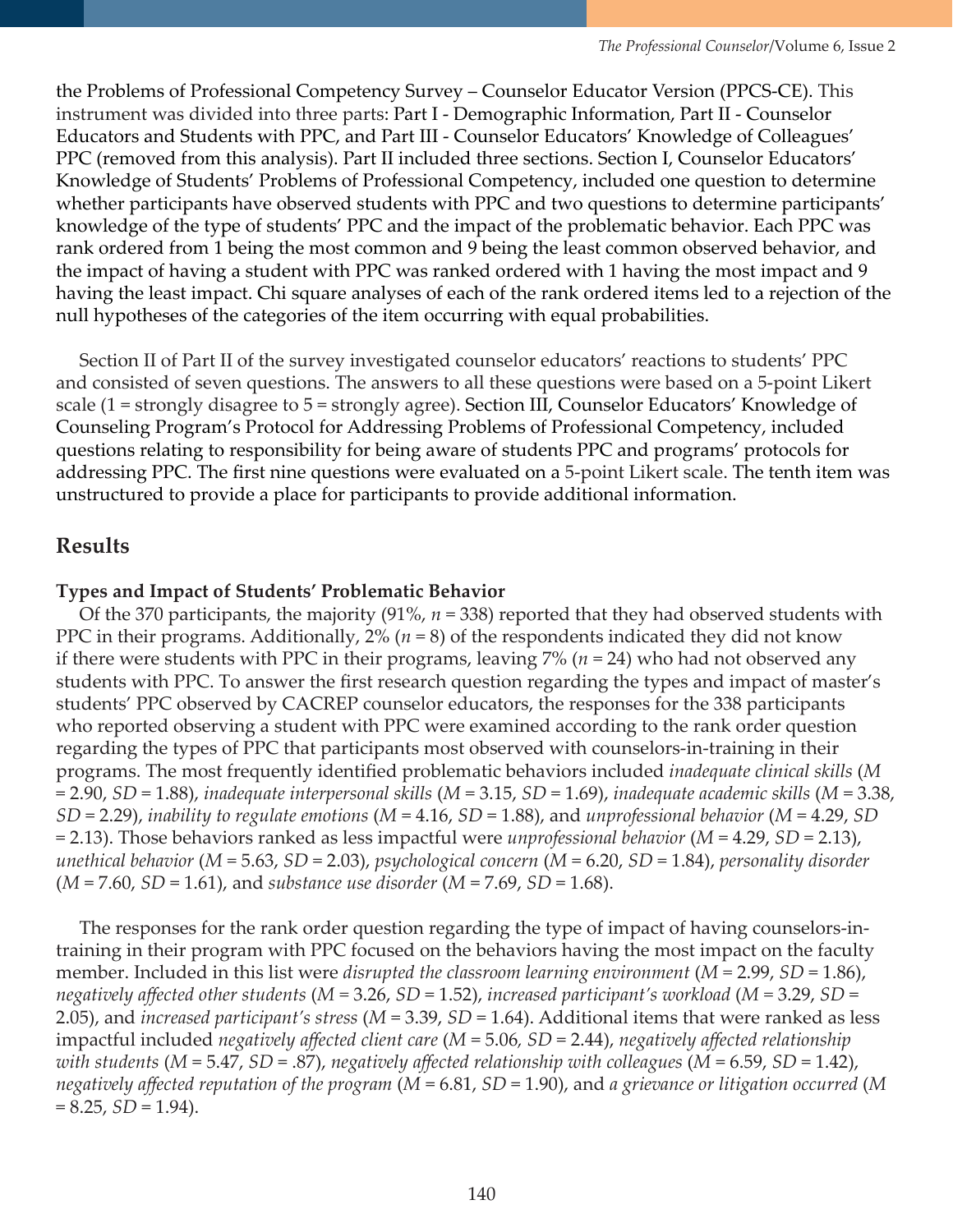the Problems of Professional Competency Survey – Counselor Educator Version (PPCS-CE). This instrument was divided into three parts: Part I - Demographic Information, Part II - Counselor Educators and Students with PPC, and Part III - Counselor Educators' Knowledge of Colleagues' PPC (removed from this analysis). Part II included three sections. Section I, Counselor Educators' Knowledge of Students' Problems of Professional Competency, included one question to determine whether participants have observed students with PPC and two questions to determine participants' knowledge of the type of students' PPC and the impact of the problematic behavior. Each PPC was rank ordered from 1 being the most common and 9 being the least common observed behavior, and the impact of having a student with PPC was ranked ordered with 1 having the most impact and 9 having the least impact. Chi square analyses of each of the rank ordered items led to a rejection of the null hypotheses of the categories of the item occurring with equal probabilities.

 Section II of Part II of the survey investigated counselor educators' reactions to students' PPC and consisted of seven questions. The answers to all these questions were based on a 5-point Likert scale (1 = strongly disagree to 5 = strongly agree). Section III, Counselor Educators' Knowledge of Counseling Program's Protocol for Addressing Problems of Professional Competency, included questions relating to responsibility for being aware of students PPC and programs' protocols for addressing PPC. The first nine questions were evaluated on a 5-point Likert scale. The tenth item was unstructured to provide a place for participants to provide additional information.

## **Results**

#### **Types and Impact of Students' Problematic Behavior**

 Of the 370 participants, the majority (91%, *n* = 338) reported that they had observed students with PPC in their programs. Additionally, 2% (*n* = 8) of the respondents indicated they did not know if there were students with PPC in their programs, leaving 7% (*n* = 24) who had not observed any students with PPC. To answer the first research question regarding the types and impact of master's students' PPC observed by CACREP counselor educators, the responses for the 338 participants who reported observing a student with PPC were examined according to the rank order question regarding the types of PPC that participants most observed with counselors-in-training in their programs. The most frequently identified problematic behaviors included *inadequate clinical skills* (*M*  = 2.90, *SD* = 1.88), *inadequate interpersonal skills* (*M* = 3.15, *SD* = 1.69), *inadequate academic skills* (*M* = 3.38, *SD* = 2.29), *inability to regulate emotions* (*M* = 4.16, *SD* = 1.88), and *unprofessional behavior* (*M* = 4.29, *SD* = 2.13). Those behaviors ranked as less impactful were *unprofessional behavior* (*M* = 4.29, *SD* = 2.13), *unethical behavior* (*M* = 5.63, *SD* = 2.03), *psychological concern* (*M* = 6.20, *SD* = 1.84), *personality disorder*  (*M* = 7.60, *SD* = 1.61), and *substance use disorder* (*M* = 7.69, *SD* = 1.68).

 The responses for the rank order question regarding the type of impact of having counselors-intraining in their program with PPC focused on the behaviors having the most impact on the faculty member. Included in this list were *disrupted the classroom learning environment* (*M =* 2.99, *SD* = 1.86), *negatively affected other students* (*M =* 3.26, *SD* = 1.52), *increased participant's workload* (*M =* 3.29, *SD* = 2.05), and *increased participant's stress* (*M* = 3.39, *SD* = 1.64). Additional items that were ranked as less impactful included *negatively affected client care* (*M* = 5.06*, SD* = 2.44), *negatively affected relationship with students* (*M* = 5.47, *SD* = .87), *negatively affected relationship with colleagues* (*M* = 6.59, *SD* = 1.42), *negatively affected reputation of the program* (*M* = 6.81, *SD* = 1.90), and *a grievance or litigation occurred* (*M*  $= 8.25, SD = 1.94$ .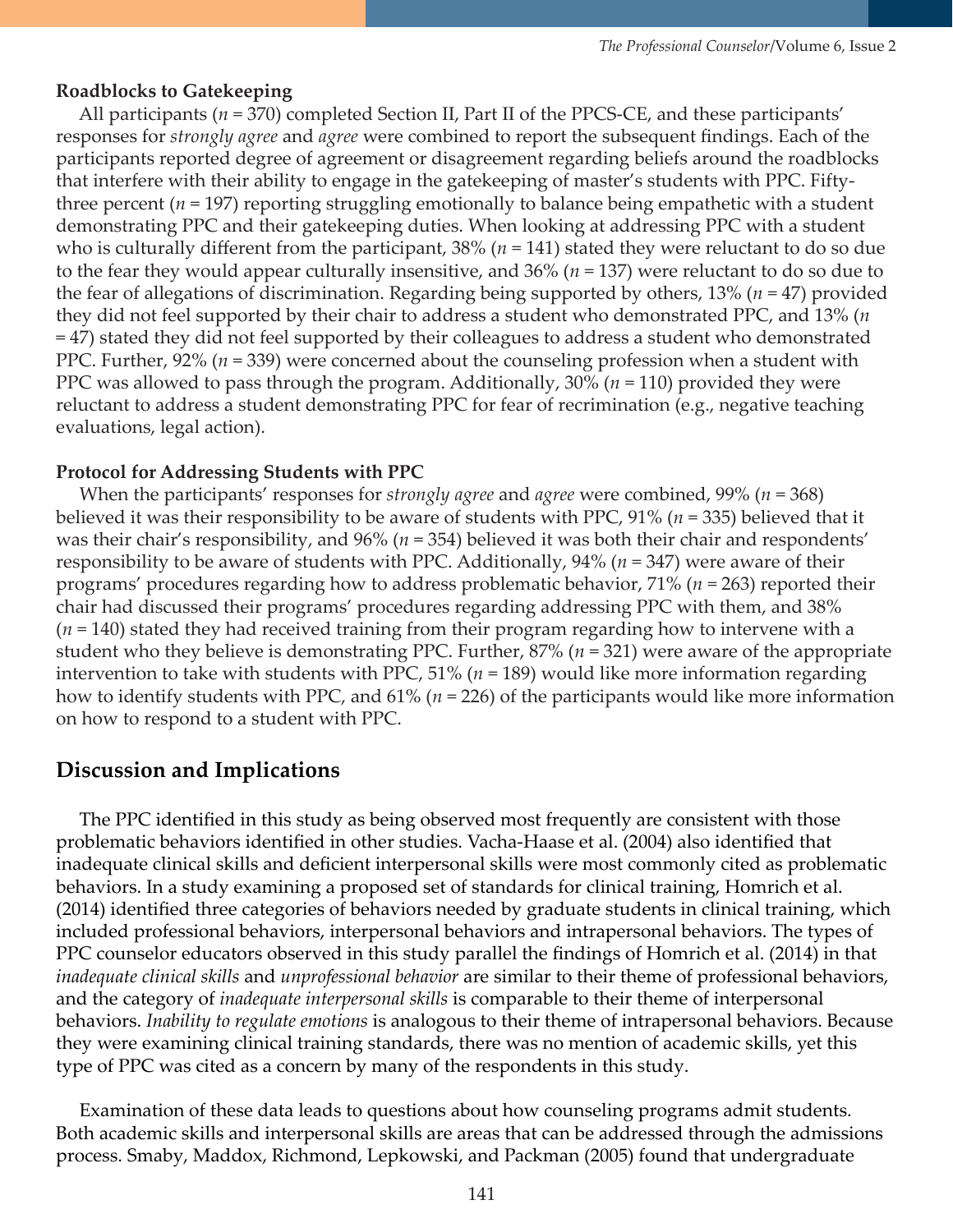#### **Roadblocks to Gatekeeping**

 All participants (*n* = 370) completed Section II, Part II of the PPCS-CE, and these participants' responses for *strongly agree* and *agree* were combined to report the subsequent findings. Each of the participants reported degree of agreement or disagreement regarding beliefs around the roadblocks that interfere with their ability to engage in the gatekeeping of master's students with PPC. Fiftythree percent (*n* = 197) reporting struggling emotionally to balance being empathetic with a student demonstrating PPC and their gatekeeping duties. When looking at addressing PPC with a student who is culturally different from the participant, 38% (*n* = 141) stated they were reluctant to do so due to the fear they would appear culturally insensitive, and 36% (*n* = 137) were reluctant to do so due to the fear of allegations of discrimination. Regarding being supported by others, 13% (*n* = 47) provided they did not feel supported by their chair to address a student who demonstrated PPC, and 13% (*n* = 47) stated they did not feel supported by their colleagues to address a student who demonstrated PPC. Further, 92% (*n* = 339) were concerned about the counseling profession when a student with PPC was allowed to pass through the program. Additionally, 30% (*n* = 110) provided they were reluctant to address a student demonstrating PPC for fear of recrimination (e.g., negative teaching evaluations, legal action).

#### **Protocol for Addressing Students with PPC**

 When the participants' responses for *strongly agree* and *agree* were combined, 99% (*n* = 368) believed it was their responsibility to be aware of students with PPC, 91% (*n* = 335) believed that it was their chair's responsibility, and 96% (*n* = 354) believed it was both their chair and respondents' responsibility to be aware of students with PPC. Additionally, 94% (*n* = 347) were aware of their programs' procedures regarding how to address problematic behavior, 71% (*n* = 263) reported their chair had discussed their programs' procedures regarding addressing PPC with them, and 38% (*n* = 140) stated they had received training from their program regarding how to intervene with a student who they believe is demonstrating PPC. Further, 87% (*n* = 321) were aware of the appropriate intervention to take with students with PPC, 51% (*n* = 189) would like more information regarding how to identify students with PPC, and 61% (*n* = 226) of the participants would like more information on how to respond to a student with PPC.

## **Discussion and Implications**

The PPC identified in this study as being observed most frequently are consistent with those problematic behaviors identified in other studies. Vacha-Haase et al. (2004) also identified that inadequate clinical skills and deficient interpersonal skills were most commonly cited as problematic behaviors. In a study examining a proposed set of standards for clinical training, Homrich et al. (2014) identified three categories of behaviors needed by graduate students in clinical training, which included professional behaviors, interpersonal behaviors and intrapersonal behaviors. The types of PPC counselor educators observed in this study parallel the findings of Homrich et al. (2014) in that *inadequate clinical skills* and *unprofessional behavior* are similar to their theme of professional behaviors, and the category of *inadequate interpersonal skills* is comparable to their theme of interpersonal behaviors. *Inability to regulate emotions* is analogous to their theme of intrapersonal behaviors. Because they were examining clinical training standards, there was no mention of academic skills, yet this type of PPC was cited as a concern by many of the respondents in this study.

 Examination of these data leads to questions about how counseling programs admit students. Both academic skills and interpersonal skills are areas that can be addressed through the admissions process. Smaby, Maddox, Richmond, Lepkowski, and Packman (2005) found that undergraduate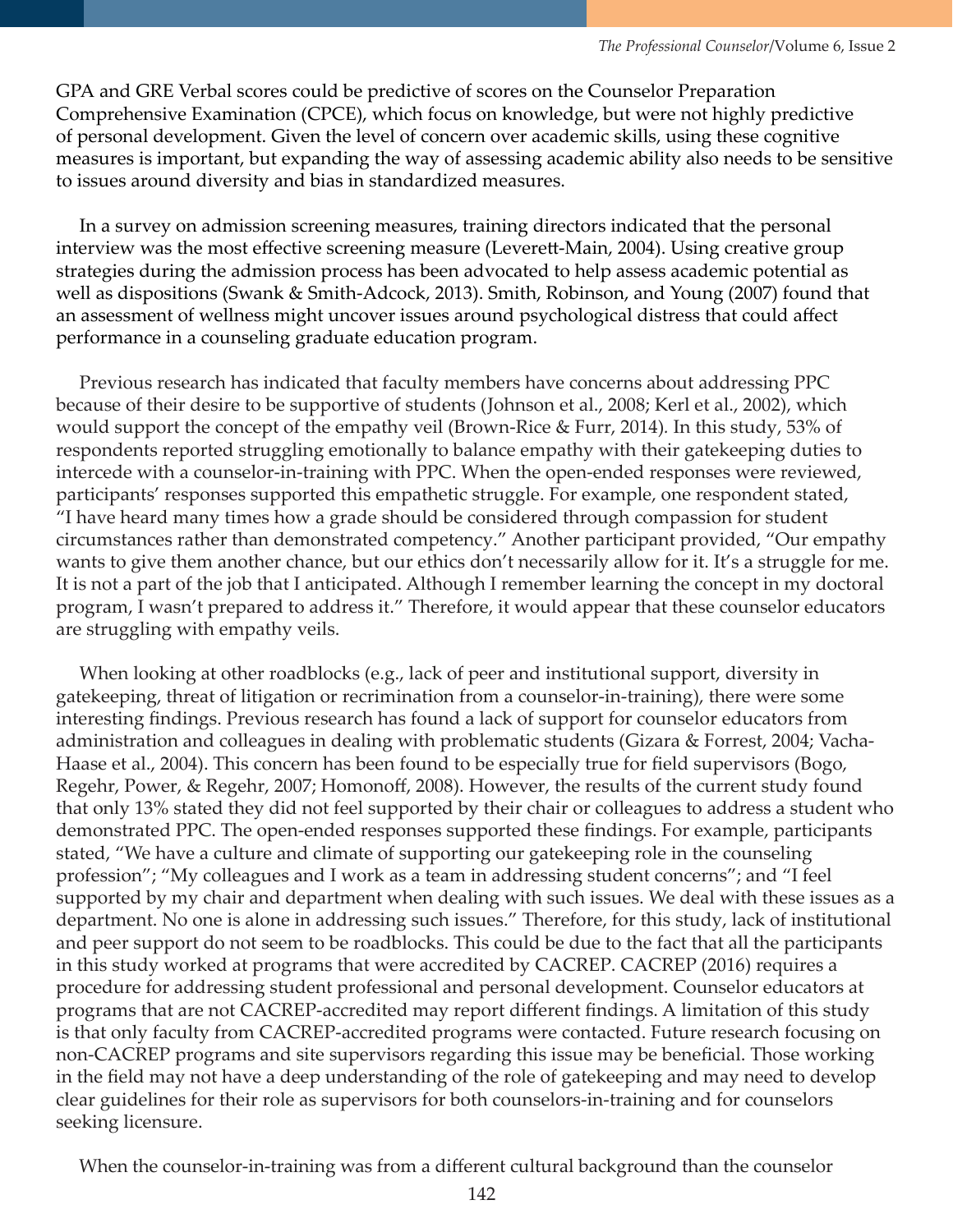GPA and GRE Verbal scores could be predictive of scores on the Counselor Preparation Comprehensive Examination (CPCE), which focus on knowledge, but were not highly predictive of personal development. Given the level of concern over academic skills, using these cognitive measures is important, but expanding the way of assessing academic ability also needs to be sensitive to issues around diversity and bias in standardized measures.

 In a survey on admission screening measures, training directors indicated that the personal interview was the most effective screening measure (Leverett-Main, 2004). Using creative group strategies during the admission process has been advocated to help assess academic potential as well as dispositions (Swank & Smith-Adcock, 2013). Smith, Robinson, and Young (2007) found that an assessment of wellness might uncover issues around psychological distress that could affect performance in a counseling graduate education program.

 Previous research has indicated that faculty members have concerns about addressing PPC because of their desire to be supportive of students (Johnson et al., 2008; Kerl et al., 2002), which would support the concept of the empathy veil (Brown-Rice & Furr, 2014)*.* In this study, 53% of respondents reported struggling emotionally to balance empathy with their gatekeeping duties to intercede with a counselor-in-training with PPC. When the open-ended responses were reviewed, participants' responses supported this empathetic struggle. For example, one respondent stated, "I have heard many times how a grade should be considered through compassion for student circumstances rather than demonstrated competency." Another participant provided, "Our empathy wants to give them another chance, but our ethics don't necessarily allow for it. It's a struggle for me. It is not a part of the job that I anticipated. Although I remember learning the concept in my doctoral program, I wasn't prepared to address it." Therefore, it would appear that these counselor educators are struggling with empathy veils.

 When looking at other roadblocks (e.g., lack of peer and institutional support, diversity in gatekeeping, threat of litigation or recrimination from a counselor-in-training), there were some interesting findings. Previous research has found a lack of support for counselor educators from administration and colleagues in dealing with problematic students (Gizara & Forrest, 2004; Vacha-Haase et al., 2004). This concern has been found to be especially true for field supervisors (Bogo, Regehr, Power, & Regehr, 2007; Homonoff, 2008). However, the results of the current study found that only 13% stated they did not feel supported by their chair or colleagues to address a student who demonstrated PPC. The open-ended responses supported these findings. For example, participants stated, "We have a culture and climate of supporting our gatekeeping role in the counseling profession"; "My colleagues and I work as a team in addressing student concerns"; and "I feel supported by my chair and department when dealing with such issues. We deal with these issues as a department. No one is alone in addressing such issues." Therefore, for this study, lack of institutional and peer support do not seem to be roadblocks. This could be due to the fact that all the participants in this study worked at programs that were accredited by CACREP. CACREP (2016) requires a procedure for addressing student professional and personal development. Counselor educators at programs that are not CACREP-accredited may report different findings. A limitation of this study is that only faculty from CACREP-accredited programs were contacted. Future research focusing on non-CACREP programs and site supervisors regarding this issue may be beneficial. Those working in the field may not have a deep understanding of the role of gatekeeping and may need to develop clear guidelines for their role as supervisors for both counselors-in-training and for counselors seeking licensure.

When the counselor-in-training was from a different cultural background than the counselor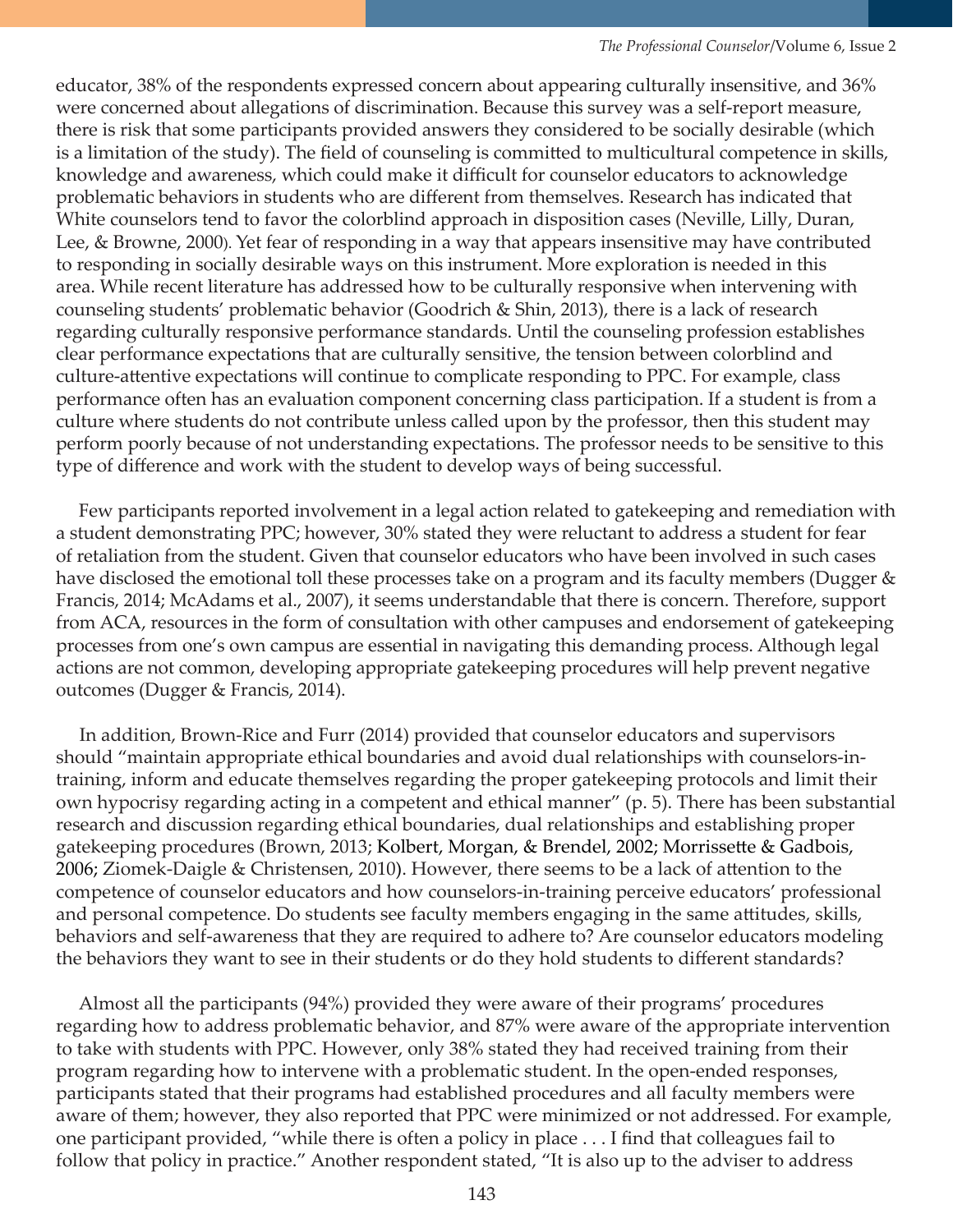educator, 38% of the respondents expressed concern about appearing culturally insensitive, and 36% were concerned about allegations of discrimination. Because this survey was a self-report measure, there is risk that some participants provided answers they considered to be socially desirable (which is a limitation of the study). The field of counseling is committed to multicultural competence in skills, knowledge and awareness, which could make it difficult for counselor educators to acknowledge problematic behaviors in students who are different from themselves. Research has indicated that White counselors tend to favor the colorblind approach in disposition cases (Neville, Lilly, Duran, Lee, & Browne, 2000). Yet fear of responding in a way that appears insensitive may have contributed to responding in socially desirable ways on this instrument. More exploration is needed in this area. While recent literature has addressed how to be culturally responsive when intervening with counseling students' problematic behavior (Goodrich & Shin, 2013), there is a lack of research regarding culturally responsive performance standards. Until the counseling profession establishes clear performance expectations that are culturally sensitive, the tension between colorblind and culture-attentive expectations will continue to complicate responding to PPC. For example, class performance often has an evaluation component concerning class participation. If a student is from a culture where students do not contribute unless called upon by the professor, then this student may perform poorly because of not understanding expectations. The professor needs to be sensitive to this type of difference and work with the student to develop ways of being successful.

 Few participants reported involvement in a legal action related to gatekeeping and remediation with a student demonstrating PPC; however, 30% stated they were reluctant to address a student for fear of retaliation from the student. Given that counselor educators who have been involved in such cases have disclosed the emotional toll these processes take on a program and its faculty members (Dugger & Francis, 2014; McAdams et al., 2007), it seems understandable that there is concern. Therefore, support from ACA, resources in the form of consultation with other campuses and endorsement of gatekeeping processes from one's own campus are essential in navigating this demanding process. Although legal actions are not common, developing appropriate gatekeeping procedures will help prevent negative outcomes (Dugger & Francis, 2014).

 In addition, Brown-Rice and Furr (2014) provided that counselor educators and supervisors should "maintain appropriate ethical boundaries and avoid dual relationships with counselors-intraining, inform and educate themselves regarding the proper gatekeeping protocols and limit their own hypocrisy regarding acting in a competent and ethical manner" (p. 5). There has been substantial research and discussion regarding ethical boundaries, dual relationships and establishing proper gatekeeping procedures (Brown, 2013; Kolbert, Morgan, & Brendel, 2002; Morrissette & Gadbois, 2006; Ziomek-Daigle & Christensen, 2010). However, there seems to be a lack of attention to the competence of counselor educators and how counselors-in-training perceive educators' professional and personal competence. Do students see faculty members engaging in the same attitudes, skills, behaviors and self-awareness that they are required to adhere to? Are counselor educators modeling the behaviors they want to see in their students or do they hold students to different standards?

 Almost all the participants (94%) provided they were aware of their programs' procedures regarding how to address problematic behavior, and 87% were aware of the appropriate intervention to take with students with PPC. However, only 38% stated they had received training from their program regarding how to intervene with a problematic student. In the open-ended responses, participants stated that their programs had established procedures and all faculty members were aware of them; however, they also reported that PPC were minimized or not addressed. For example, one participant provided, "while there is often a policy in place . . . I find that colleagues fail to follow that policy in practice." Another respondent stated, "It is also up to the adviser to address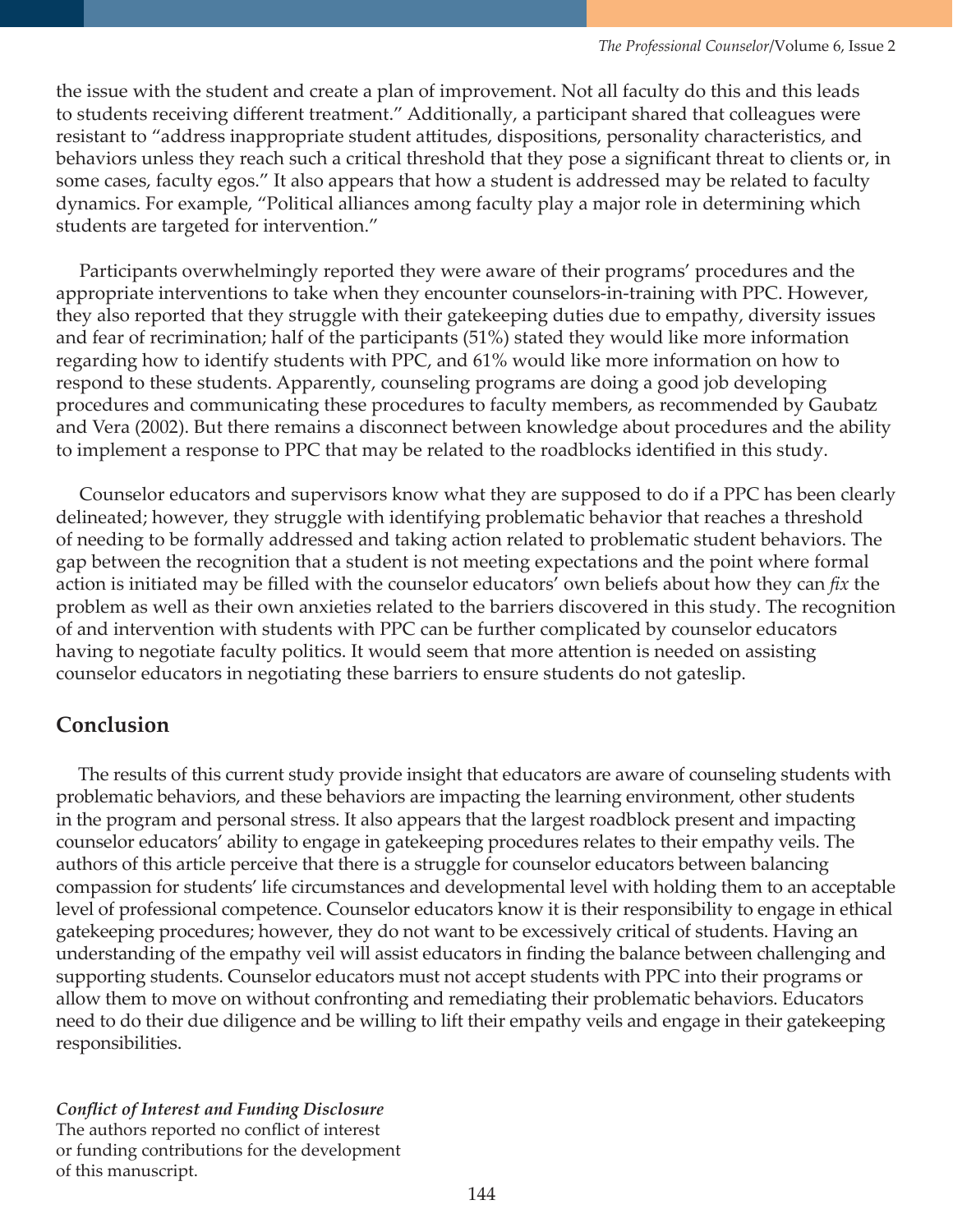the issue with the student and create a plan of improvement. Not all faculty do this and this leads to students receiving different treatment." Additionally, a participant shared that colleagues were resistant to "address inappropriate student attitudes, dispositions, personality characteristics, and behaviors unless they reach such a critical threshold that they pose a significant threat to clients or, in some cases, faculty egos." It also appears that how a student is addressed may be related to faculty dynamics. For example, "Political alliances among faculty play a major role in determining which students are targeted for intervention."

 Participants overwhelmingly reported they were aware of their programs' procedures and the appropriate interventions to take when they encounter counselors-in-training with PPC. However, they also reported that they struggle with their gatekeeping duties due to empathy, diversity issues and fear of recrimination; half of the participants (51%) stated they would like more information regarding how to identify students with PPC, and 61% would like more information on how to respond to these students. Apparently, counseling programs are doing a good job developing procedures and communicating these procedures to faculty members, as recommended by Gaubatz and Vera (2002). But there remains a disconnect between knowledge about procedures and the ability to implement a response to PPC that may be related to the roadblocks identified in this study.

 Counselor educators and supervisors know what they are supposed to do if a PPC has been clearly delineated; however, they struggle with identifying problematic behavior that reaches a threshold of needing to be formally addressed and taking action related to problematic student behaviors. The gap between the recognition that a student is not meeting expectations and the point where formal action is initiated may be filled with the counselor educators' own beliefs about how they can *fix* the problem as well as their own anxieties related to the barriers discovered in this study. The recognition of and intervention with students with PPC can be further complicated by counselor educators having to negotiate faculty politics. It would seem that more attention is needed on assisting counselor educators in negotiating these barriers to ensure students do not gateslip.

# **Conclusion**

 The results of this current study provide insight that educators are aware of counseling students with problematic behaviors, and these behaviors are impacting the learning environment, other students in the program and personal stress. It also appears that the largest roadblock present and impacting counselor educators' ability to engage in gatekeeping procedures relates to their empathy veils. The authors of this article perceive that there is a struggle for counselor educators between balancing compassion for students' life circumstances and developmental level with holding them to an acceptable level of professional competence. Counselor educators know it is their responsibility to engage in ethical gatekeeping procedures; however, they do not want to be excessively critical of students. Having an understanding of the empathy veil will assist educators in finding the balance between challenging and supporting students. Counselor educators must not accept students with PPC into their programs or allow them to move on without confronting and remediating their problematic behaviors. Educators need to do their due diligence and be willing to lift their empathy veils and engage in their gatekeeping responsibilities.

*Conflict of Interest and Funding Disclosure*  The authors reported no conflict of interest or funding contributions for the development of this manuscript.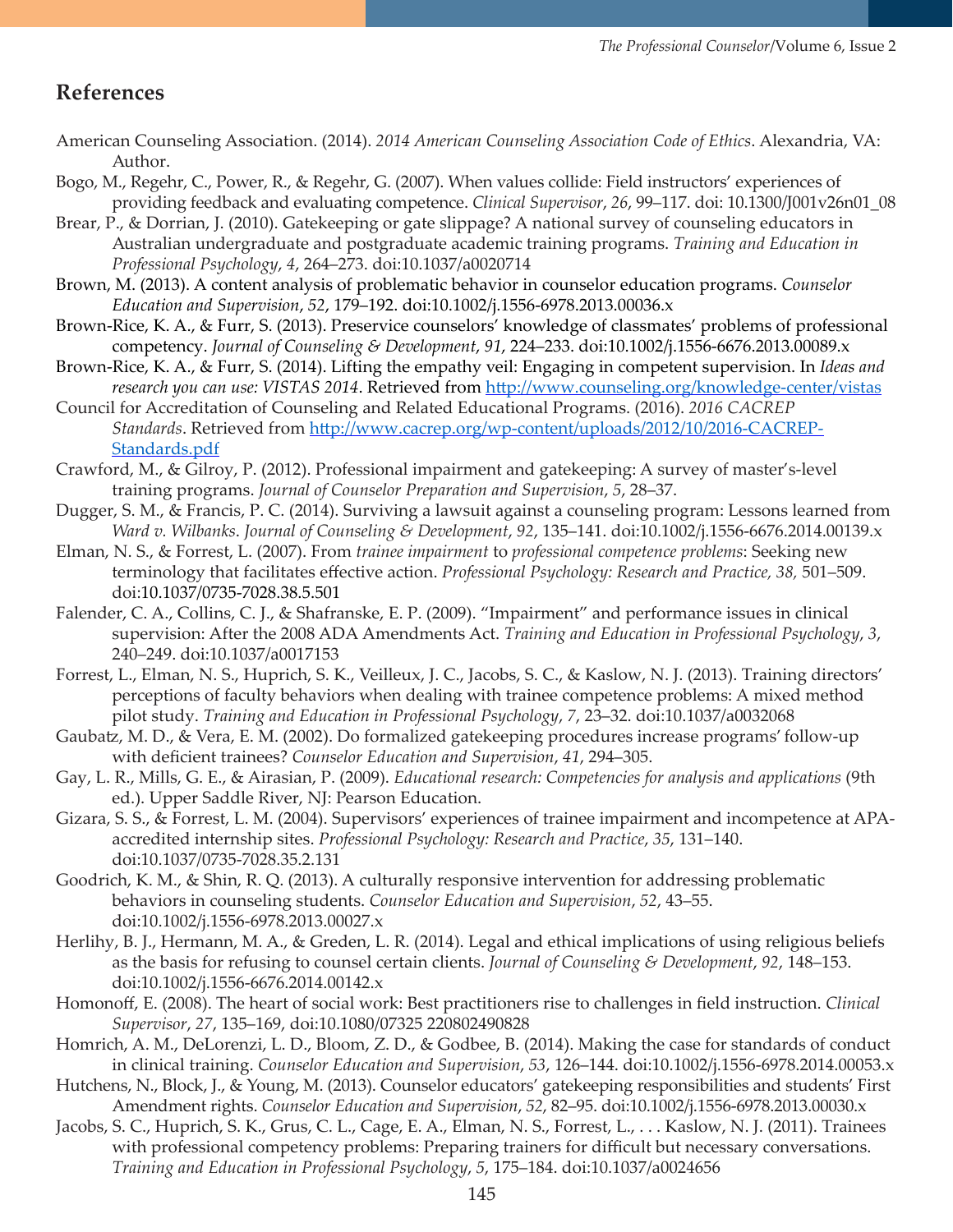# **References**

- American Counseling Association. (2014). *2014 American Counseling Association Code of Ethics*. Alexandria, VA: Author.
- Bogo, M., Regehr, C., Power, R., & Regehr, G. (2007). When values collide: Field instructors' experiences of providing feedback and evaluating competence. *Clinical Supervisor*, *26*, 99–117. doi: 10.1300/J001v26n01\_08
- Brear, P., & Dorrian, J. (2010). Gatekeeping or gate slippage? A national survey of counseling educators in Australian undergraduate and postgraduate academic training programs. *Training and Education in Professional Psychology*, *4*, 264–273. doi:10.1037/a0020714
- Brown, M. (2013). A content analysis of problematic behavior in counselor education programs. *Counselor Education and Supervision*, *52*, 179–192. doi:10.1002/j.1556-6978.2013.00036.x
- Brown-Rice, K. A., & Furr, S. (2013). Preservice counselors' knowledge of classmates' problems of professional competency. *Journal of Counseling & Development*, *91*, 224–233. doi:10.1002/j.1556-6676.2013.00089.x
- Brown-Rice, K. A., & Furr, S. (2014). Lifting the empathy veil: Engaging in competent supervision. In *Ideas and*  research you can use: VISTAS 2014. Retrieved from [http://www.counseling.org/knowledge-center/vistas](http://www.counseling.org/knowledge-center/vistas/vistas-2014)
- Council for Accreditation of Counseling and Related Educational Programs. (2016). *2016 CACREP Standards*. Retrieved from [http://www.cacrep.org/wp-content/uploads/2012/10/2016-CACREP-](http://www.cacrep.org/wp-content/uploads/2012/10/2016-CACREP-Standards.pdf)[Standards.pdf](http://www.cacrep.org/wp-content/uploads/2012/10/2016-CACREP-Standards.pdf)
- Crawford, M., & Gilroy, P. (2012). Professional impairment and gatekeeping: A survey of master's-level training programs. *Journal of Counselor Preparation and Supervision*, *5*, 28–37.
- Dugger, S. M., & Francis, P. C. (2014). Surviving a lawsuit against a counseling program: Lessons learned from *Ward v. Wilbanks*. *Journal of Counseling & Development*, *92*, 135–141. doi:10.1002/j.1556-6676.2014.00139.x
- Elman, N. S., & Forrest, L. (2007). From *trainee impairment* to *professional competence problems*: Seeking new terminology that facilitates effective action. *Professional Psychology: Research and Practice, 38,* 501–509. doi:[10.1037/0735-7028.38.5.501](file://denali/NBCCKristinRairden/TPC%20-%20Journal%20Projects/TPC%20-%20Journal%20Volumes/Volume%206/VOLUME%206%2c%20issue%202/javascript:__doLinkPostBack()
- Falender, C. A., Collins, C. J., & Shafranske, E. P. (2009). "Impairment" and performance issues in clinical supervision: After the 2008 ADA Amendments Act. *Training and Education in Professional Psychology*, *3*, 240–249. doi:10.1037/a0017153
- Forrest, L., Elman, N. S., Huprich, S. K., Veilleux, J. C., Jacobs, S. C., & Kaslow, N. J. (2013). Training directors' perceptions of faculty behaviors when dealing with trainee competence problems: A mixed method pilot study. *Training and Education in Professional Psychology*, *7*, 23–32. doi:10.1037/a0032068
- Gaubatz, M. D., & Vera, E. M. (2002). Do formalized gatekeeping procedures increase programs'follow-up with deficient trainees? *Counselor Education and Supervision*, *41*, 294–305.
- Gay, L. R., Mills, G. E., & Airasian, P. (2009). *Educational research: Competencies for analysis and applications* (9th ed.). Upper Saddle River, NJ: Pearson Education.
- Gizara, S. S., & Forrest, L. M. (2004). Supervisors' experiences of trainee impairment and incompetence at APAaccredited internship sites. *Professional Psychology: Research and Practice*, *35*, 131–140. doi:10.1037/0735-7028.35.2.131
- Goodrich, K. M., & Shin, R. Q. (2013). A culturally responsive intervention for addressing problematic behaviors in counseling students. *Counselor Education and Supervision*, *52*, 43–55. doi:10.1002/j.1556-6978.2013.00027.x
- Herlihy, B. J., Hermann, M. A., & Greden, L. R. (2014). Legal and ethical implications of using religious beliefs as the basis for refusing to counsel certain clients. *Journal of Counseling & Development*, *92*, 148–153. doi:10.1002/j.1556-6676.2014.00142.x
- Homonoff, E. (2008). The heart of social work: Best practitioners rise to challenges in field instruction. *Clinical Supervisor*, *27*, 135–169, doi:10.1080/07325 220802490828
- Homrich, A. M., DeLorenzi, L. D., Bloom, Z. D., & Godbee, B. (2014). Making the case for standards of conduct in clinical training. *Counselor Education and Supervision*, *53*, 126–144. doi:10.1002/j.1556-6978.2014.00053.x
- Hutchens, N., Block, J., & Young, M. (2013). Counselor educators' gatekeeping responsibilities and students' First Amendment rights. *Counselor Education and Supervision*, *52*, 82–95. doi:10.1002/j.1556-6978.2013.00030.x
- Jacobs, S. C., Huprich, S. K., Grus, C. L., Cage, E. A., Elman, N. S., Forrest, L., . . . Kaslow, N. J. (2011). Trainees with professional competency problems: Preparing trainers for difficult but necessary conversations. *Training and Education in Professional Psychology*, *5*, 175–184. doi:10.1037/a0024656